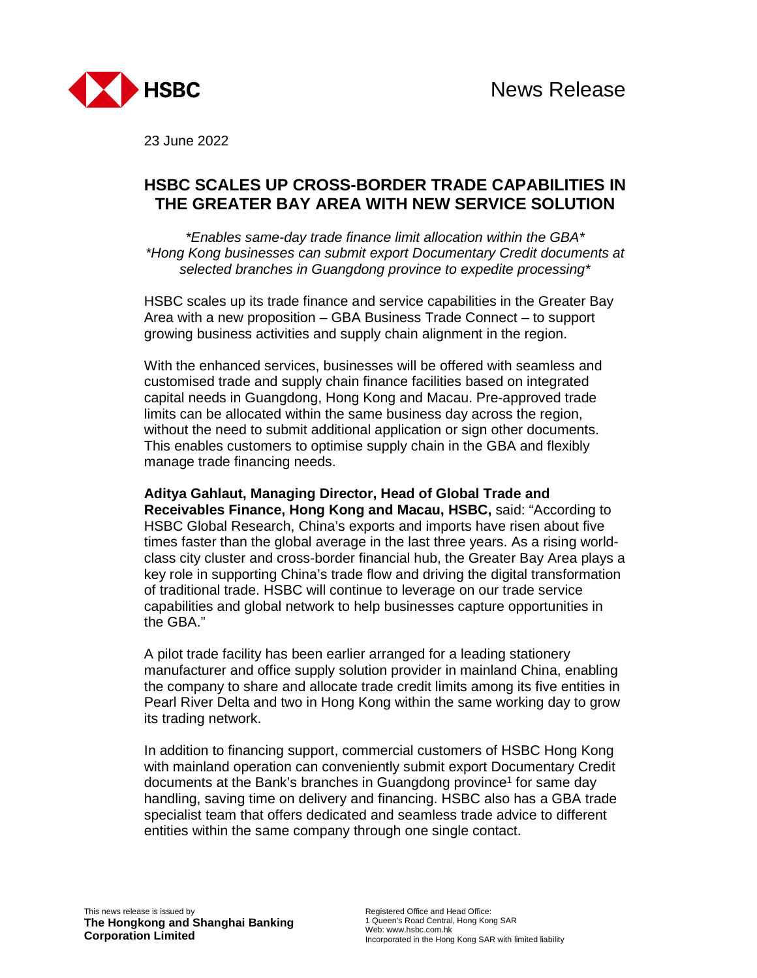

23 June 2022

## **HSBC SCALES UP CROSS-BORDER TRADE CAPABILITIES IN THE GREATER BAY AREA WITH NEW SERVICE SOLUTION**

*\*Enables same-day trade finance limit allocation within the GBA\* \*Hong Kong businesses can submit export Documentary Credit documents at selected branches in Guangdong province to expedite processing\** 

HSBC scales up its trade finance and service capabilities in the Greater Bay Area with a new proposition – GBA Business Trade Connect – to support growing business activities and supply chain alignment in the region.

With the enhanced services, businesses will be offered with seamless and customised trade and supply chain finance facilities based on integrated capital needs in Guangdong, Hong Kong and Macau. Pre-approved trade limits can be allocated within the same business day across the region, without the need to submit additional application or sign other documents. This enables customers to optimise supply chain in the GBA and flexibly manage trade financing needs.

**Aditya Gahlaut, Managing Director, Head of Global Trade and Receivables Finance, Hong Kong and Macau, HSBC,** said: "According to HSBC Global Research, China's exports and imports have risen about five times faster than the global average in the last three years. As a rising worldclass city cluster and cross-border financial hub, the Greater Bay Area plays a key role in supporting China's trade flow and driving the digital transformation of traditional trade. HSBC will continue to leverage on our trade service capabilities and global network to help businesses capture opportunities in the GBA."

A pilot trade facility has been earlier arranged for a leading stationery manufacturer and office supply solution provider in mainland China, enabling the company to share and allocate trade credit limits among its five entities in Pearl River Delta and two in Hong Kong within the same working day to grow its trading network.

In addition to financing support, commercial customers of HSBC Hong Kong with mainland operation can conveniently submit export Documentary Credit documents at the Bank's branches in Guangdong province<sup>1</sup> for same day handling, saving time on delivery and financing. HSBC also has a GBA trade specialist team that offers dedicated and seamless trade advice to different entities within the same company through one single contact.